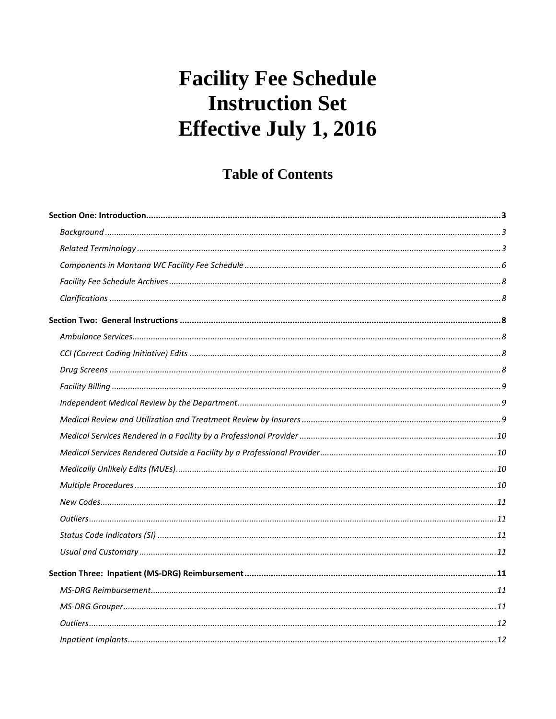# **Table of Contents**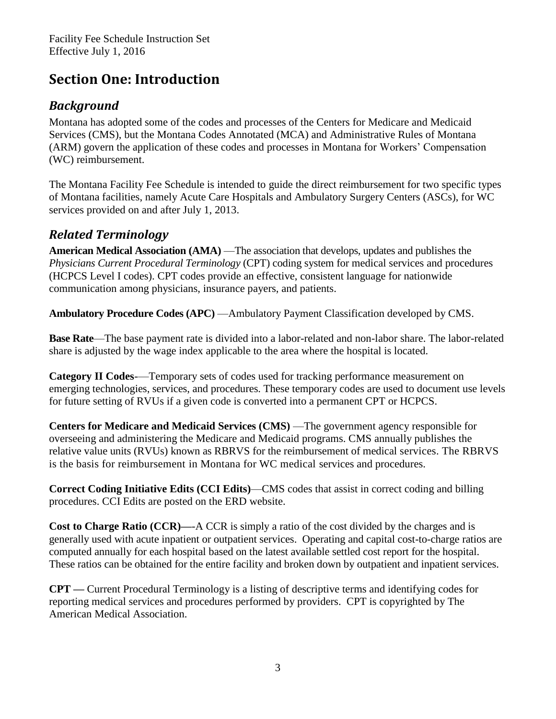# <span id="page-2-0"></span>**Section One: Introduction**

# <span id="page-2-1"></span>*Background*

Montana has adopted some of the codes and processes of the Centers for Medicare and Medicaid Services (CMS), but the Montana Codes Annotated (MCA) and Administrative Rules of Montana (ARM) govern the application of these codes and processes in Montana for Workers' Compensation (WC) reimbursement.

The Montana Facility Fee Schedule is intended to guide the direct reimbursement for two specific types of Montana facilities, namely Acute Care Hospitals and Ambulatory Surgery Centers (ASCs), for WC services provided on and after July 1, 2013.

# <span id="page-2-2"></span>*Related Terminology*

**American Medical Association (AMA)** —The association that develops, updates and publishes the *Physicians Current Procedural Terminology* (CPT) coding system for medical services and procedures (HCPCS Level I codes). CPT codes provide an effective, consistent language for nationwide communication among physicians, insurance payers, and patients.

**Ambulatory Procedure Codes (APC)** —Ambulatory Payment Classification developed by CMS.

**Base Rate**—The base payment rate is divided into a labor-related and non-labor share. The labor-related share is adjusted by the wage index applicable to the area where the hospital is located.

**Category II Codes**-—Temporary sets of codes used for tracking performance measurement on emerging technologies, services, and procedures. These temporary codes are used to document use levels for future setting of RVUs if a given code is converted into a permanent CPT or HCPCS.

**Centers for Medicare and Medicaid Services (CMS)** —The government agency responsible for overseeing and administering the Medicare and Medicaid programs. CMS annually publishes the relative value units (RVUs) known as RBRVS for the reimbursement of medical services. The RBRVS is the basis for reimbursement in Montana for WC medical services and procedures.

**Correct Coding Initiative Edits (CCI Edits)**—CMS codes that assist in correct coding and billing procedures. CCI Edits are posted on the ERD website.

**Cost to Charge Ratio (CCR)—**-A CCR is simply a ratio of the cost divided by the charges and is generally used with acute inpatient or outpatient services. Operating and capital cost-to-charge ratios are computed annually for each hospital based on the latest available settled cost report for the hospital. These ratios can be obtained for the entire facility and broken down by outpatient and inpatient services.

**CPT —** Current Procedural Terminology is a listing of descriptive terms and identifying codes for reporting medical services and procedures performed by providers. CPT is copyrighted by The American Medical Association.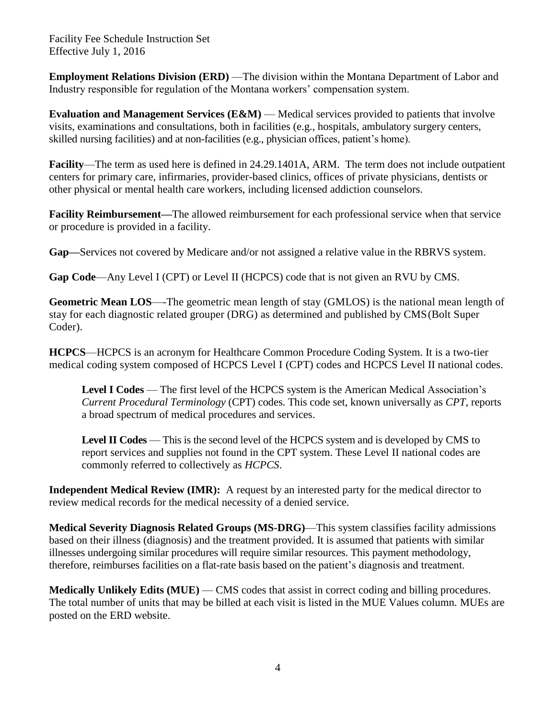**Employment Relations Division (ERD)** — The division within the Montana Department of Labor and Industry responsible for regulation of the Montana workers' compensation system.

**Evaluation and Management Services (E&M)** — Medical services provided to patients that involve visits, examinations and consultations, both in facilities (e.g., hospitals, ambulatory surgery centers, skilled nursing facilities) and at non-facilities (e.g., physician offices, patient's home).

**Facility**—The term as used here is defined in 24.29.1401A, ARM. The term does not include outpatient centers for primary care, infirmaries, provider-based clinics, offices of private physicians, dentists or other physical or mental health care workers, including licensed addiction counselors.

**Facility Reimbursement—**The allowed reimbursement for each professional service when that service or procedure is provided in a facility.

**Gap—**Services not covered by Medicare and/or not assigned a relative value in the RBRVS system.

**Gap Code**—Any Level I (CPT) or Level II (HCPCS) code that is not given an RVU by CMS.

**Geometric Mean LOS**—-The geometric mean length of stay (GMLOS) is the national mean length of stay for each diagnostic related grouper (DRG) as determined and published by CMS(Bolt Super Coder).

**HCPCS**—HCPCS is an acronym for Healthcare Common Procedure Coding System. It is a two-tier medical coding system composed of HCPCS Level I (CPT) codes and HCPCS Level II national codes.

Level I Codes — The first level of the HCPCS system is the American Medical Association's *Current Procedural Terminology* (CPT) codes. This code set, known universally as *CPT*, reports a broad spectrum of medical procedures and services.

**Level II Codes** — This is the second level of the HCPCS system and is developed by CMS to report services and supplies not found in the CPT system. These Level II national codes are commonly referred to collectively as *HCPCS*.

**Independent Medical Review (IMR):** A request by an interested party for the medical director to review medical records for the medical necessity of a denied service.

**Medical Severity Diagnosis Related Groups (MS-DRG)**—This system classifies facility admissions based on their illness (diagnosis) and the treatment provided. It is assumed that patients with similar illnesses undergoing similar procedures will require similar resources. This payment methodology, therefore, reimburses facilities on a flat-rate basis based on the patient's diagnosis and treatment.

**Medically Unlikely Edits (MUE)** — CMS codes that assist in correct coding and billing procedures. The total number of units that may be billed at each visit is listed in the MUE Values column. MUEs are posted on the ERD website.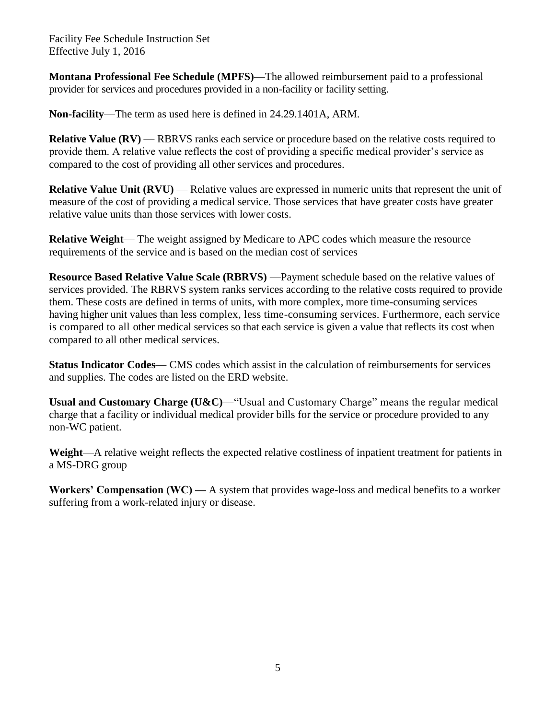**Montana Professional Fee Schedule (MPFS)**—The allowed reimbursement paid to a professional provider for services and procedures provided in a non-facility or facility setting.

**Non-facility**—The term as used here is defined in 24.29.1401A, ARM.

**Relative Value (RV) — RBRVS** ranks each service or procedure based on the relative costs required to provide them. A relative value reflects the cost of providing a specific medical provider's service as compared to the cost of providing all other services and procedures.

**Relative Value Unit (RVU)** — Relative values are expressed in numeric units that represent the unit of measure of the cost of providing a medical service. Those services that have greater costs have greater relative value units than those services with lower costs.

**Relative Weight**— The weight assigned by Medicare to APC codes which measure the resource requirements of the service and is based on the median cost of services

**Resource Based Relative Value Scale (RBRVS)** —Payment schedule based on the relative values of services provided. The RBRVS system ranks services according to the relative costs required to provide them. These costs are defined in terms of units, with more complex, more time-consuming services having higher unit values than less complex, less time-consuming services. Furthermore, each service is compared to all other medical services so that each service is given a value that reflects its cost when compared to all other medical services.

**Status Indicator Codes**— CMS codes which assist in the calculation of reimbursements for services and supplies. The codes are listed on the ERD website.

**Usual and Customary Charge (U&C)**—"Usual and Customary Charge" means the regular medical charge that a facility or individual medical provider bills for the service or procedure provided to any non-WC patient.

**Weight**—A relative weight reflects the expected relative costliness of inpatient treatment for patients in a MS-DRG group

**Workers' Compensation (WC) —** A system that provides wage-loss and medical benefits to a worker suffering from a work-related injury or disease.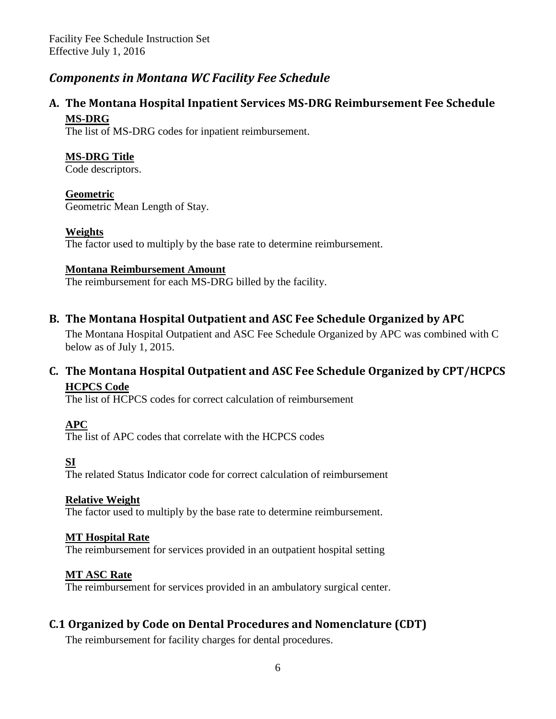### <span id="page-5-0"></span>*Components in Montana WC Facility Fee Schedule*

### **A. The Montana Hospital Inpatient Services MS-DRG Reimbursement Fee Schedule MS-DRG**

The list of MS-DRG codes for inpatient reimbursement.

#### **MS-DRG Title**

Code descriptors.

#### **Geometric**

Geometric Mean Length of Stay.

#### **Weights**

The factor used to multiply by the base rate to determine reimbursement.

#### **Montana Reimbursement Amount**

The reimbursement for each MS-DRG billed by the facility.

#### **B. The Montana Hospital Outpatient and ASC Fee Schedule Organized by APC**

The Montana Hospital Outpatient and ASC Fee Schedule Organized by APC was combined with C below as of July 1, 2015.

#### **C. The Montana Hospital Outpatient and ASC Fee Schedule Organized by CPT/HCPCS HCPCS Code**

The list of HCPCS codes for correct calculation of reimbursement

#### **APC**

The list of APC codes that correlate with the HCPCS codes

#### **SI**

The related Status Indicator code for correct calculation of reimbursement

#### **Relative Weight**

The factor used to multiply by the base rate to determine reimbursement.

#### **MT Hospital Rate**

The reimbursement for services provided in an outpatient hospital setting

#### **MT ASC Rate**

The reimbursement for services provided in an ambulatory surgical center.

#### **C.1 Organized by Code on Dental Procedures and Nomenclature (CDT)**

The reimbursement for facility charges for dental procedures.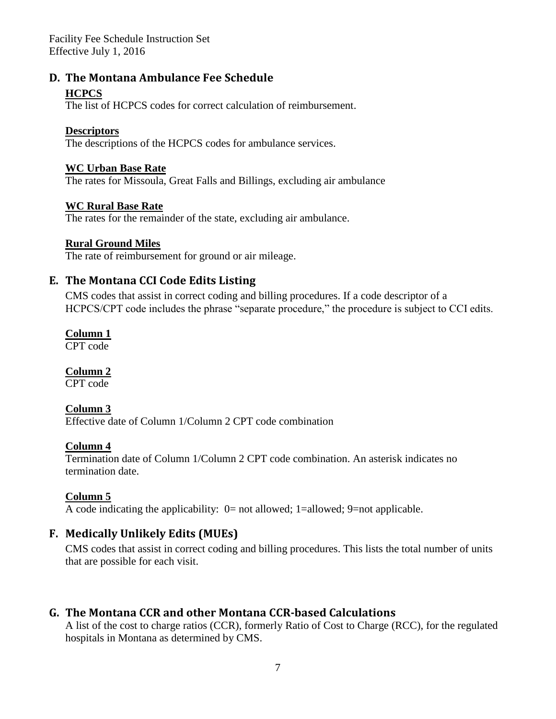#### **D. The Montana Ambulance Fee Schedule**

#### **HCPCS**

The list of HCPCS codes for correct calculation of reimbursement.

#### **Descriptors**

The descriptions of the HCPCS codes for ambulance services.

#### **WC Urban Base Rate**

The rates for Missoula, Great Falls and Billings, excluding air ambulance

#### **WC Rural Base Rate**

The rates for the remainder of the state, excluding air ambulance.

#### **Rural Ground Miles**

The rate of reimbursement for ground or air mileage.

#### **E. The Montana CCI Code Edits Listing**

CMS codes that assist in correct coding and billing procedures. If a code descriptor of a HCPCS/CPT code includes the phrase "separate procedure," the procedure is subject to CCI edits.

#### **Column 1**

CPT code

#### **Column 2**

CPT code

#### **Column 3**

Effective date of Column 1/Column 2 CPT code combination

#### **Column 4**

Termination date of Column 1/Column 2 CPT code combination. An asterisk indicates no termination date.

#### **Column 5**

A code indicating the applicability: 0= not allowed; 1=allowed; 9=not applicable.

#### **F. Medically Unlikely Edits (MUEs)**

CMS codes that assist in correct coding and billing procedures. This lists the total number of units that are possible for each visit.

#### **G. The Montana CCR and other Montana CCR-based Calculations**

A list of the cost to charge ratios (CCR), formerly Ratio of Cost to Charge (RCC), for the regulated hospitals in Montana as determined by CMS.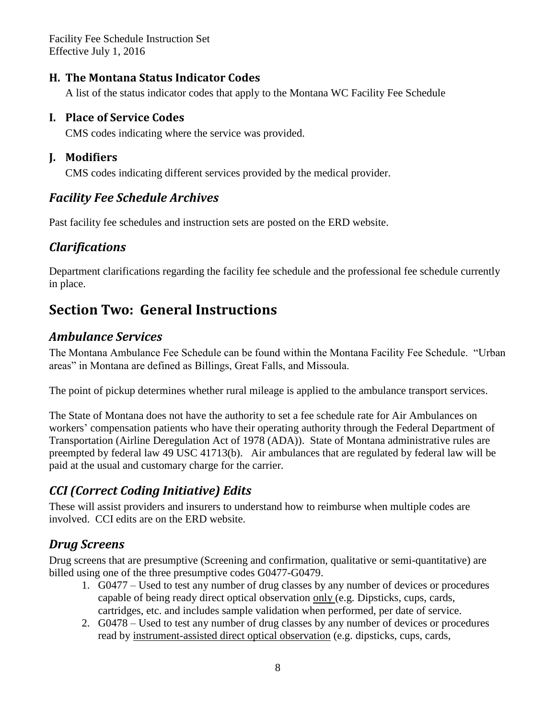#### **H. The Montana Status Indicator Codes**

A list of the status indicator codes that apply to the Montana WC Facility Fee Schedule

#### **I. Place of Service Codes**

CMS codes indicating where the service was provided.

### **J. Modifiers**

CMS codes indicating different services provided by the medical provider.

# <span id="page-7-0"></span>*[Facility](http://erd.dli.mt.gov/workers-comp-claims-assistance/medical-regulations/montana-facility-fee-schedule/19-erd/workers-comp-study-project/269-montana-facility-fee-schedule-archives.html) Fee Schedule Archives*

Past facility fee schedules and instruction sets are posted on the ERD website.

# <span id="page-7-1"></span>*Clarifications*

Department clarifications regarding the facility fee schedule and the professional fee schedule currently in place.

# <span id="page-7-2"></span>**Section Two: General Instructions**

# <span id="page-7-3"></span>*Ambulance Services*

The Montana Ambulance Fee Schedule can be found within the Montana Facility Fee Schedule. "Urban areas" in Montana are defined as Billings, Great Falls, and Missoula.

The point of pickup determines whether rural mileage is applied to the ambulance transport services.

The State of Montana does not have the authority to set a fee schedule rate for Air Ambulances on workers' compensation patients who have their operating authority through the Federal Department of Transportation (Airline Deregulation Act of 1978 (ADA)). State of Montana administrative rules are preempted by federal law 49 USC 41713(b). Air ambulances that are regulated by federal law will be paid at the usual and customary charge for the carrier.

# <span id="page-7-4"></span>*CCI (Correct Coding Initiative) Edits*

These will assist providers and insurers to understand how to reimburse when multiple codes are involved. CCI edits are on the ERD website.

# <span id="page-7-5"></span>*Drug Screens*

Drug screens that are presumptive (Screening and confirmation, qualitative or semi-quantitative) are billed using one of the three presumptive codes G0477-G0479.

- 1. G0477 Used to test any number of drug classes by any number of devices or procedures capable of being ready direct optical observation only (e.g. Dipsticks, cups, cards, cartridges, etc. and includes sample validation when performed, per date of service.
- 2. G0478 Used to test any number of drug classes by any number of devices or procedures read by instrument-assisted direct optical observation (e.g. dipsticks, cups, cards,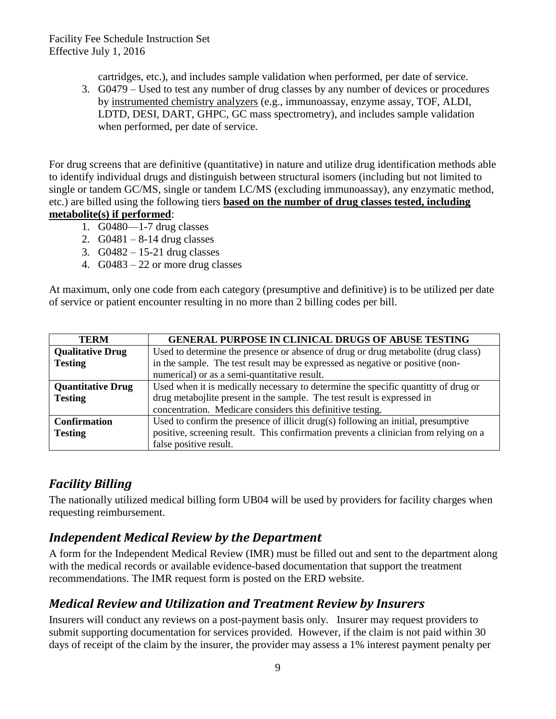cartridges, etc.), and includes sample validation when performed, per date of service.

3. G0479 – Used to test any number of drug classes by any number of devices or procedures by instrumented chemistry analyzers (e.g., immunoassay, enzyme assay, TOF, ALDI, LDTD, DESI, DART, GHPC, GC mass spectrometry), and includes sample validation when performed, per date of service.

For drug screens that are definitive (quantitative) in nature and utilize drug identification methods able to identify individual drugs and distinguish between structural isomers (including but not limited to single or tandem GC/MS, single or tandem LC/MS (excluding immunoassay), any enzymatic method, etc.) are billed using the following tiers **based on the number of drug classes tested, including metabolite(s) if performed**:

- 1. G0480—1-7 drug classes
- 2.  $G0481 8-14$  drug classes
- 3. G0482 15-21 drug classes
- 4. G0483 22 or more drug classes

At maximum, only one code from each category (presumptive and definitive) is to be utilized per date of service or patient encounter resulting in no more than 2 billing codes per bill.

| <b>TERM</b>              | <b>GENERAL PURPOSE IN CLINICAL DRUGS OF ABUSE TESTING</b>                            |
|--------------------------|--------------------------------------------------------------------------------------|
| <b>Qualitative Drug</b>  | Used to determine the presence or absence of drug or drug metabolite (drug class)    |
| <b>Testing</b>           | in the sample. The test result may be expressed as negative or positive (non-        |
|                          | numerical) or as a semi-quantitative result.                                         |
| <b>Quantitative Drug</b> | Used when it is medically necessary to determine the specific quantity of drug or    |
| <b>Testing</b>           | drug metabojlite present in the sample. The test result is expressed in              |
|                          | concentration. Medicare considers this definitive testing.                           |
| <b>Confirmation</b>      | Used to confirm the presence of illicit drug(s) following an initial, presumptive    |
| <b>Testing</b>           | positive, screening result. This confirmation prevents a clinician from relying on a |
|                          | false positive result.                                                               |

# <span id="page-8-0"></span>*Facility Billing*

The nationally utilized medical billing form UB04 will be used by providers for facility charges when requesting reimbursement.

# <span id="page-8-1"></span>*Independent Medical Review by the Department*

A form for the Independent Medical Review (IMR) must be filled out and sent to the department along with the medical records or available evidence-based documentation that support the treatment recommendations. The IMR request form is posted on the ERD website.

# <span id="page-8-2"></span>*Medical Review and Utilization and Treatment Review by Insurers*

Insurers will conduct any reviews on a post-payment basis only. Insurer may request providers to submit supporting documentation for services provided. However, if the claim is not paid within 30 days of receipt of the claim by the insurer, the provider may assess a 1% interest payment penalty per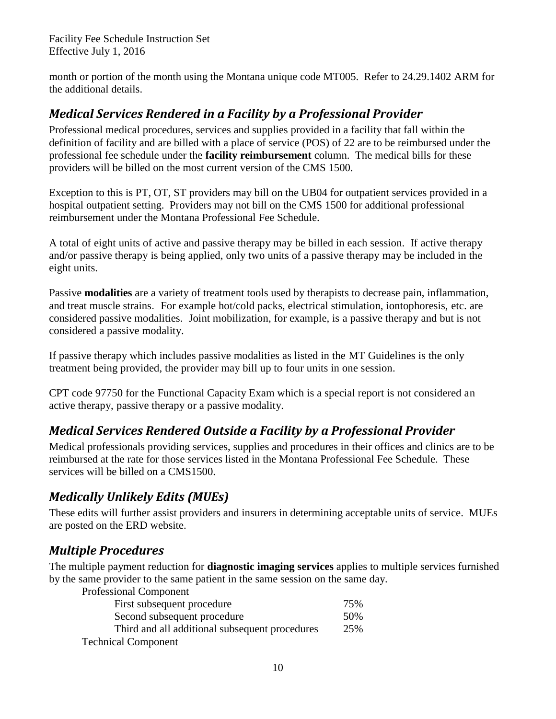month or portion of the month using the Montana unique code MT005. Refer to 24.29.1402 ARM for the additional details.

# <span id="page-9-0"></span>*Medical Services Rendered in a Facility by a Professional Provider*

Professional medical procedures, services and supplies provided in a facility that fall within the definition of facility and are billed with a place of service (POS) of 22 are to be reimbursed under the professional fee schedule under the **facility reimbursement** column. The medical bills for these providers will be billed on the most current version of the CMS 1500.

Exception to this is PT, OT, ST providers may bill on the UB04 for outpatient services provided in a hospital outpatient setting. Providers may not bill on the CMS 1500 for additional professional reimbursement under the Montana Professional Fee Schedule.

A total of eight units of active and passive therapy may be billed in each session. If active therapy and/or passive therapy is being applied, only two units of a passive therapy may be included in the eight units.

Passive **modalities** are a variety of treatment tools used by therapists to decrease pain, inflammation, and treat muscle strains. For example hot/cold packs, electrical stimulation, iontophoresis, etc. are considered passive modalities. Joint mobilization, for example, is a passive therapy and but is not considered a passive modality.

If passive therapy which includes passive modalities as listed in the MT Guidelines is the only treatment being provided, the provider may bill up to four units in one session.

CPT code 97750 for the Functional Capacity Exam which is a special report is not considered an active therapy, passive therapy or a passive modality.

# <span id="page-9-1"></span>*Medical Services Rendered Outside a Facility by a Professional Provider*

Medical professionals providing services, supplies and procedures in their offices and clinics are to be reimbursed at the rate for those services listed in the Montana Professional Fee Schedule. These services will be billed on a CMS1500.

# <span id="page-9-2"></span>*Medically Unlikely Edits (MUEs)*

These edits will further assist providers and insurers in determining acceptable units of service. MUEs are posted on the ERD website.

# <span id="page-9-3"></span>*Multiple Procedures*

The multiple payment reduction for **diagnostic imaging services** applies to multiple services furnished by the same provider to the same patient in the same session on the same day.

Professional Component

| First subsequent procedure                     | 75% |
|------------------------------------------------|-----|
| Second subsequent procedure                    | 50% |
| Third and all additional subsequent procedures | 25% |
| <b>Technical Component</b>                     |     |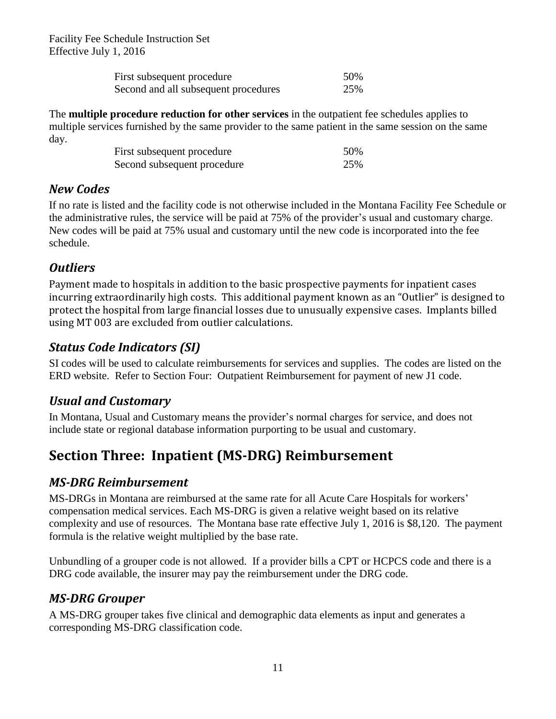| First subsequent procedure           | 50% |
|--------------------------------------|-----|
| Second and all subsequent procedures | 25% |

The **multiple procedure reduction for other services** in the outpatient fee schedules applies to multiple services furnished by the same provider to the same patient in the same session on the same day.

| First subsequent procedure  | 50% |
|-----------------------------|-----|
| Second subsequent procedure | 25% |

### <span id="page-10-0"></span>*New Codes*

If no rate is listed and the facility code is not otherwise included in the Montana Facility Fee Schedule or the administrative rules, the service will be paid at 75% of the provider's usual and customary charge. New codes will be paid at 75% usual and customary until the new code is incorporated into the fee schedule.

# <span id="page-10-1"></span>*Outliers*

Payment made to hospitals in addition to the basic prospective payments for inpatient cases incurring extraordinarily high costs. This additional payment known as an "Outlier" is designed to protect the hospital from large financial losses due to unusually expensive cases. Implants billed using MT 003 are excluded from outlier calculations.

# <span id="page-10-2"></span>*Status Code Indicators (SI)*

SI codes will be used to calculate reimbursements for services and supplies. The codes are listed on the ERD website. Refer to Section Four: Outpatient Reimbursement for payment of new J1 code.

# <span id="page-10-3"></span>*Usual and Customary*

In Montana, Usual and Customary means the provider's normal charges for service, and does not include state or regional database information purporting to be usual and customary.

# <span id="page-10-4"></span>**Section Three: Inpatient (MS-DRG) Reimbursement**

# <span id="page-10-5"></span>*MS-DRG Reimbursement*

MS-DRGs in Montana are reimbursed at the same rate for all Acute Care Hospitals for workers' compensation medical services. Each MS-DRG is given a relative weight based on its relative complexity and use of resources. The Montana base rate effective July 1, 2016 is \$8,120. The payment formula is the relative weight multiplied by the base rate.

Unbundling of a grouper code is not allowed. If a provider bills a CPT or HCPCS code and there is a DRG code available, the insurer may pay the reimbursement under the DRG code.

# <span id="page-10-6"></span>*MS-DRG Grouper*

A MS-DRG grouper takes five clinical and demographic data elements as input and generates a corresponding MS-DRG classification code.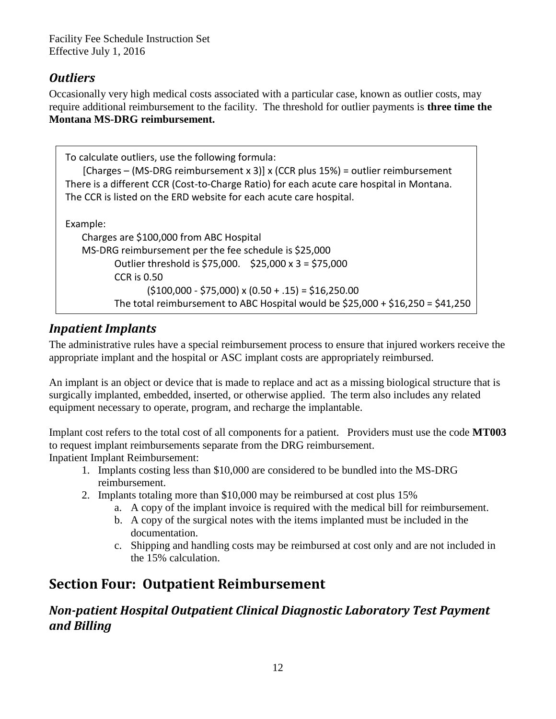# <span id="page-11-0"></span>*Outliers*

Occasionally very high medical costs associated with a particular case, known as outlier costs, may require additional reimbursement to the facility. The threshold for outlier payments is **three time the Montana MS-DRG reimbursement.**

| To calculate outliers, use the following formula:<br>[Charges – (MS-DRG reimbursement x 3)] x (CCR plus $15\%$ ) = outlier reimbursement<br>There is a different CCR (Cost-to-Charge Ratio) for each acute care hospital in Montana.<br>The CCR is listed on the ERD website for each acute care hospital. |
|------------------------------------------------------------------------------------------------------------------------------------------------------------------------------------------------------------------------------------------------------------------------------------------------------------|
| Example:                                                                                                                                                                                                                                                                                                   |
| Charges are \$100,000 from ABC Hospital                                                                                                                                                                                                                                                                    |
| MS-DRG reimbursement per the fee schedule is \$25,000                                                                                                                                                                                                                                                      |
| Outlier threshold is \$75,000. \$25,000 x 3 = \$75,000                                                                                                                                                                                                                                                     |
| <b>CCR is 0.50</b>                                                                                                                                                                                                                                                                                         |
| $(5100,000 - 575,000)$ x $(0.50 + .15) = 516,250.00$                                                                                                                                                                                                                                                       |
| The total reimbursement to ABC Hospital would be $$25,000 + $16,250 = $41,250$                                                                                                                                                                                                                             |

# <span id="page-11-1"></span>*Inpatient Implants*

The administrative rules have a special reimbursement process to ensure that injured workers receive the appropriate implant and the hospital or ASC implant costs are appropriately reimbursed.

An implant is an object or device that is made to replace and act as a missing biological structure that is surgically implanted, embedded, inserted, or otherwise applied. The term also includes any related equipment necessary to operate, program, and recharge the implantable.

Implant cost refers to the total cost of all components for a patient. Providers must use the code **MT003** to request implant reimbursements separate from the DRG reimbursement. Inpatient Implant Reimbursement:

- 1. Implants costing less than \$10,000 are considered to be bundled into the MS-DRG reimbursement.
- 2. Implants totaling more than \$10,000 may be reimbursed at cost plus 15%
	- a. A copy of the implant invoice is required with the medical bill for reimbursement.
	- b. A copy of the surgical notes with the items implanted must be included in the documentation.
	- c. Shipping and handling costs may be reimbursed at cost only and are not included in the 15% calculation.

# <span id="page-11-2"></span>**Section Four: Outpatient Reimbursement**

<span id="page-11-3"></span>*Non-patient Hospital Outpatient Clinical Diagnostic Laboratory Test Payment and Billing*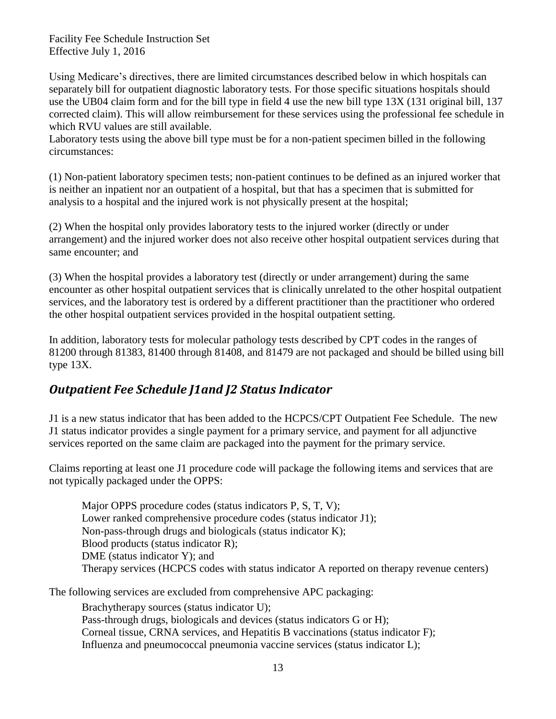Using Medicare's directives, there are limited circumstances described below in which hospitals can separately bill for outpatient diagnostic laboratory tests. For those specific situations hospitals should use the UB04 claim form and for the bill type in field 4 use the new bill type 13X (131 original bill, 137 corrected claim). This will allow reimbursement for these services using the professional fee schedule in which RVU values are still available.

Laboratory tests using the above bill type must be for a non-patient specimen billed in the following circumstances:

(1) Non-patient laboratory specimen tests; non-patient continues to be defined as an injured worker that is neither an inpatient nor an outpatient of a hospital, but that has a specimen that is submitted for analysis to a hospital and the injured work is not physically present at the hospital;

(2) When the hospital only provides laboratory tests to the injured worker (directly or under arrangement) and the injured worker does not also receive other hospital outpatient services during that same encounter; and

(3) When the hospital provides a laboratory test (directly or under arrangement) during the same encounter as other hospital outpatient services that is clinically unrelated to the other hospital outpatient services, and the laboratory test is ordered by a different practitioner than the practitioner who ordered the other hospital outpatient services provided in the hospital outpatient setting.

In addition, laboratory tests for molecular pathology tests described by CPT codes in the ranges of 81200 through 81383, 81400 through 81408, and 81479 are not packaged and should be billed using bill type 13X.

# <span id="page-12-0"></span>*Outpatient Fee Schedule J1and J2 Status Indicator*

J1 is a new status indicator that has been added to the HCPCS/CPT Outpatient Fee Schedule. The new J1 status indicator provides a single payment for a primary service, and payment for all adjunctive services reported on the same claim are packaged into the payment for the primary service.

Claims reporting at least one J1 procedure code will package the following items and services that are not typically packaged under the OPPS:

Major OPPS procedure codes (status indicators P, S, T, V); Lower ranked comprehensive procedure codes (status indicator J1); Non-pass-through drugs and biologicals (status indicator K); Blood products (status indicator R); DME (status indicator Y); and Therapy services (HCPCS codes with status indicator A reported on therapy revenue centers)

The following services are excluded from comprehensive APC packaging:

Brachytherapy sources (status indicator U); Pass-through drugs, biologicals and devices (status indicators G or H); Corneal tissue, CRNA services, and Hepatitis B vaccinations (status indicator F); Influenza and pneumococcal pneumonia vaccine services (status indicator L);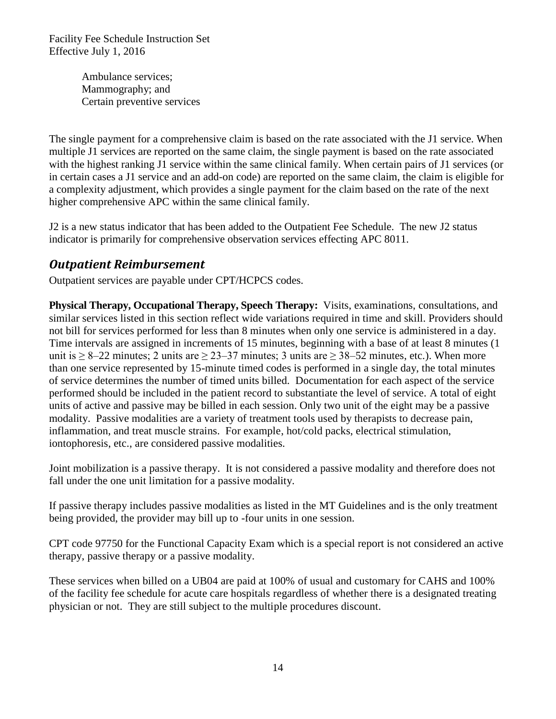> Ambulance services; Mammography; and Certain preventive services

The single payment for a comprehensive claim is based on the rate associated with the J1 service. When multiple J1 services are reported on the same claim, the single payment is based on the rate associated with the highest ranking J1 service within the same clinical family. When certain pairs of J1 services (or in certain cases a J1 service and an add-on code) are reported on the same claim, the claim is eligible for a complexity adjustment, which provides a single payment for the claim based on the rate of the next higher comprehensive APC within the same clinical family.

J2 is a new status indicator that has been added to the Outpatient Fee Schedule. The new J2 status indicator is primarily for comprehensive observation services effecting APC 8011.

### <span id="page-13-0"></span>*Outpatient Reimbursement*

Outpatient services are payable under CPT/HCPCS codes.

**Physical Therapy, Occupational Therapy, Speech Therapy:** Visits, examinations, consultations, and similar services listed in this section reflect wide variations required in time and skill. Providers should not bill for services performed for less than 8 minutes when only one service is administered in a day. Time intervals are assigned in increments of 15 minutes, beginning with a base of at least 8 minutes (1 unit is  $\geq 8-22$  minutes; 2 units are  $\geq 23-37$  minutes; 3 units are  $\geq 38-52$  minutes, etc.). When more than one service represented by 15-minute timed codes is performed in a single day, the total minutes of service determines the number of timed units billed. Documentation for each aspect of the service performed should be included in the patient record to substantiate the level of service. A total of eight units of active and passive may be billed in each session. Only two unit of the eight may be a passive modality. Passive modalities are a variety of treatment tools used by therapists to decrease pain, inflammation, and treat muscle strains. For example, hot/cold packs, electrical stimulation, iontophoresis, etc., are considered passive modalities.

Joint mobilization is a passive therapy. It is not considered a passive modality and therefore does not fall under the one unit limitation for a passive modality.

If passive therapy includes passive modalities as listed in the MT Guidelines and is the only treatment being provided, the provider may bill up to -four units in one session.

CPT code 97750 for the Functional Capacity Exam which is a special report is not considered an active therapy, passive therapy or a passive modality.

These services when billed on a UB04 are paid at 100% of usual and customary for CAHS and 100% of the facility fee schedule for acute care hospitals regardless of whether there is a designated treating physician or not. They are still subject to the multiple procedures discount.